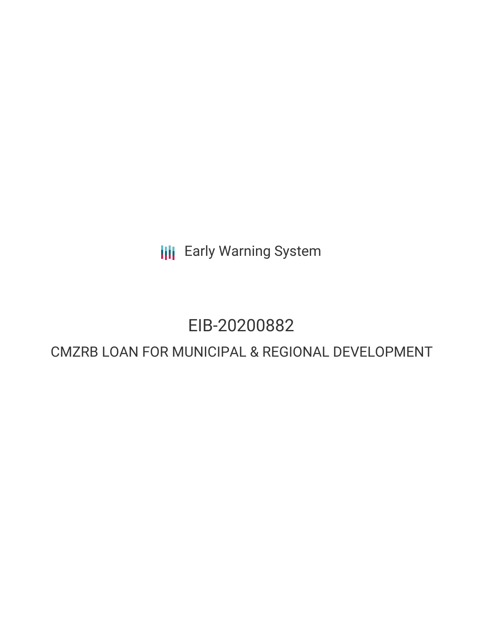**III** Early Warning System

# EIB-20200882

# CMZRB LOAN FOR MUNICIPAL & REGIONAL DEVELOPMENT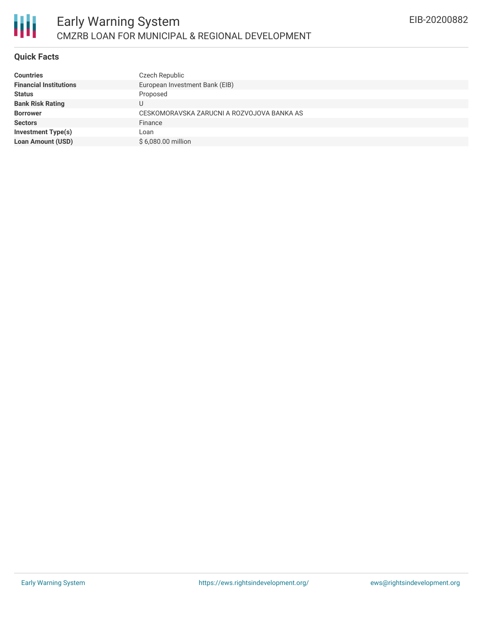#### **Quick Facts**

| <b>Countries</b>              | Czech Republic                             |
|-------------------------------|--------------------------------------------|
| <b>Financial Institutions</b> | European Investment Bank (EIB)             |
| <b>Status</b>                 | Proposed                                   |
| <b>Bank Risk Rating</b>       | J                                          |
| <b>Borrower</b>               | CESKOMORAVSKA ZARUCNI A ROZVOJOVA BANKA AS |
| <b>Sectors</b>                | Finance                                    |
| <b>Investment Type(s)</b>     | Loan                                       |
| <b>Loan Amount (USD)</b>      | \$6,080.00 million                         |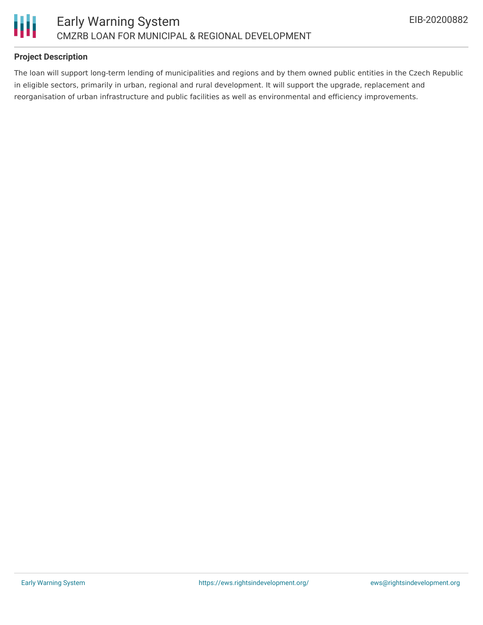

## **Project Description**

The loan will support long-term lending of municipalities and regions and by them owned public entities in the Czech Republic in eligible sectors, primarily in urban, regional and rural development. It will support the upgrade, replacement and reorganisation of urban infrastructure and public facilities as well as environmental and efficiency improvements.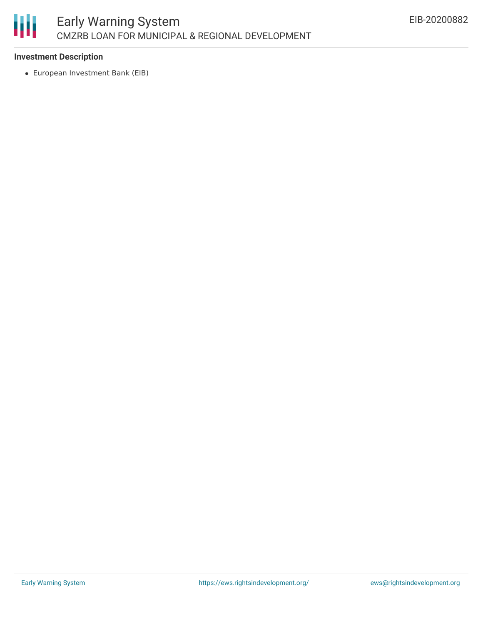

## **Investment Description**

European Investment Bank (EIB)